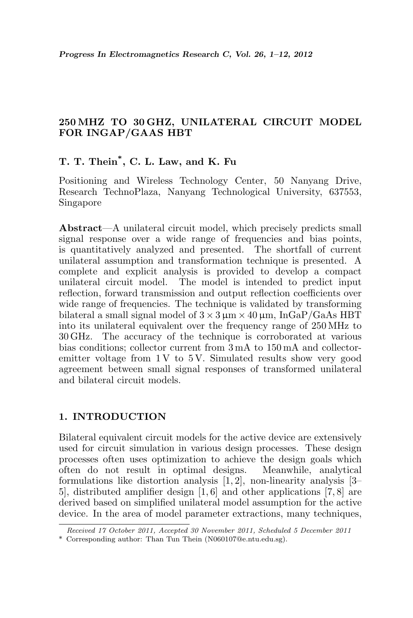# 250 MHZ TO 30 GHZ, UNILATERAL CIRCUIT MODEL FOR INGAP/GAAS HBT

# T. T. Thein\* , C. L. Law, and K. Fu

Positioning and Wireless Technology Center, 50 Nanyang Drive, Research TechnoPlaza, Nanyang Technological University, 637553, Singapore

Abstract—A unilateral circuit model, which precisely predicts small signal response over a wide range of frequencies and bias points, is quantitatively analyzed and presented. The shortfall of current unilateral assumption and transformation technique is presented. A complete and explicit analysis is provided to develop a compact unilateral circuit model. The model is intended to predict input reflection, forward transmission and output reflection coefficients over wide range of frequencies. The technique is validated by transforming bilateral a small signal model of  $3 \times 3 \mu m \times 40 \mu m$ , InGaP/GaAs HBT into its unilateral equivalent over the frequency range of 250 MHz to 30 GHz. The accuracy of the technique is corroborated at various bias conditions; collector current from 3 mA to 150 mA and collectoremitter voltage from  $1 \text{V}$  to  $5 \text{V}$ . Simulated results show very good agreement between small signal responses of transformed unilateral and bilateral circuit models.

### 1. INTRODUCTION

Bilateral equivalent circuit models for the active device are extensively used for circuit simulation in various design processes. These design processes often uses optimization to achieve the design goals which often do not result in optimal designs. Meanwhile, analytical formulations like distortion analysis [1, 2], non-linearity analysis [3– 5], distributed amplifier design [1, 6] and other applications [7, 8] are derived based on simplified unilateral model assumption for the active device. In the area of model parameter extractions, many techniques,

Received 17 October 2011, Accepted 30 November 2011, Scheduled 5 December 2011

<sup>\*</sup> Corresponding author: Than Tun Thein (N060107@e.ntu.edu.sg).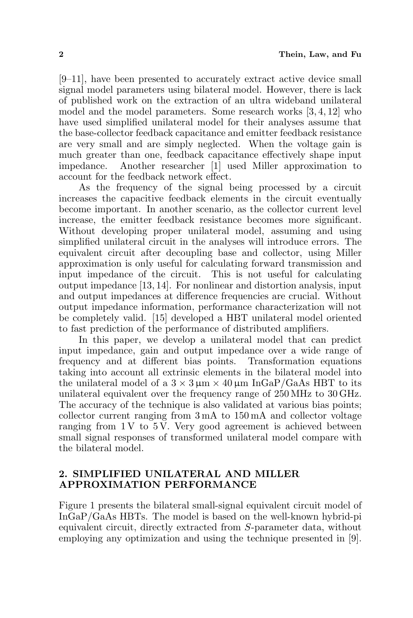[9–11], have been presented to accurately extract active device small signal model parameters using bilateral model. However, there is lack of published work on the extraction of an ultra wideband unilateral model and the model parameters. Some research works [3, 4, 12] who have used simplified unilateral model for their analyses assume that the base-collector feedback capacitance and emitter feedback resistance are very small and are simply neglected. When the voltage gain is much greater than one, feedback capacitance effectively shape input impedance. Another researcher [1] used Miller approximation to account for the feedback network effect.

As the frequency of the signal being processed by a circuit increases the capacitive feedback elements in the circuit eventually become important. In another scenario, as the collector current level increase, the emitter feedback resistance becomes more significant. Without developing proper unilateral model, assuming and using simplified unilateral circuit in the analyses will introduce errors. The equivalent circuit after decoupling base and collector, using Miller approximation is only useful for calculating forward transmission and input impedance of the circuit. This is not useful for calculating output impedance [13, 14]. For nonlinear and distortion analysis, input and output impedances at difference frequencies are crucial. Without output impedance information, performance characterization will not be completely valid. [15] developed a HBT unilateral model oriented to fast prediction of the performance of distributed amplifiers.

In this paper, we develop a unilateral model that can predict input impedance, gain and output impedance over a wide range of frequency and at different bias points. Transformation equations taking into account all extrinsic elements in the bilateral model into the unilateral model of a  $3 \times 3 \mu m \times 40 \mu m$  InGaP/GaAs HBT to its unilateral equivalent over the frequency range of 250 MHz to 30 GHz. The accuracy of the technique is also validated at various bias points; collector current ranging from 3 mA to 150 mA and collector voltage ranging from  $1 \text{V}$  to  $5 \text{V}$ . Very good agreement is achieved between small signal responses of transformed unilateral model compare with the bilateral model.

## 2. SIMPLIFIED UNILATERAL AND MILLER APPROXIMATION PERFORMANCE

Figure 1 presents the bilateral small-signal equivalent circuit model of InGaP/GaAs HBTs. The model is based on the well-known hybrid-pi equivalent circuit, directly extracted from S-parameter data, without employing any optimization and using the technique presented in [9].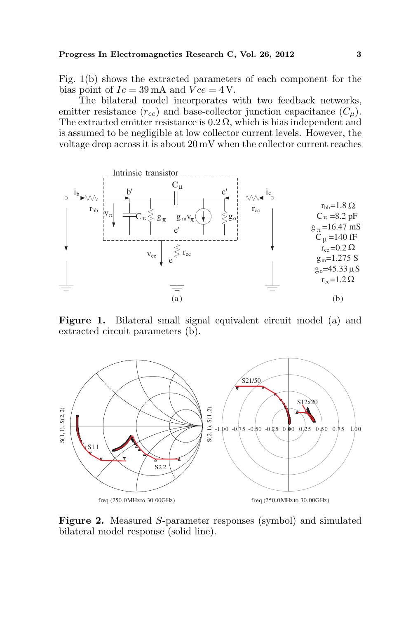#### Progress In Electromagnetics Research C, Vol. 26, 2012 3

Fig. 1(b) shows the extracted parameters of each component for the bias point of  $Ic = 39 \text{ mA}$  and  $Vce = 4 \text{ V}$ .

The bilateral model incorporates with two feedback networks, emitter resistance  $(r_{ee})$  and base-collector junction capacitance  $(C_u)$ . The extracted emitter resistance is  $0.2 \Omega$ , which is bias independent and is assumed to be negligible at low collector current levels. However, the voltage drop across it is about 20 mV when the collector current reaches



Figure 1. Bilateral small signal equivalent circuit model (a) and extracted circuit parameters (b).



Figure 2. Measured S-parameter responses (symbol) and simulated bilateral model response (solid line).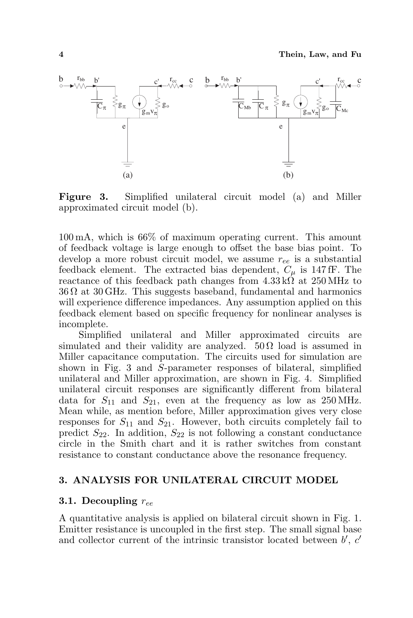

Figure 3. Simplified unilateral circuit model (a) and Miller approximated circuit model (b).

100 mA, which is 66% of maximum operating current. This amount of feedback voltage is large enough to offset the base bias point. To develop a more robust circuit model, we assume  $r_{ee}$  is a substantial feedback element. The extracted bias dependent,  $C_{\mu}$  is 147 fF. The reactance of this feedback path changes from  $4.33 \text{ k}\Omega$  at  $250 \text{ MHz}$  to  $36 \Omega$  at  $30 \text{ GHz}$ . This suggests baseband, fundamental and harmonics will experience difference impedances. Any assumption applied on this feedback element based on specific frequency for nonlinear analyses is incomplete.

Simplified unilateral and Miller approximated circuits are simulated and their validity are analyzed.  $50 \Omega$  load is assumed in Miller capacitance computation. The circuits used for simulation are shown in Fig. 3 and S-parameter responses of bilateral, simplified unilateral and Miller approximation, are shown in Fig. 4. Simplified unilateral circuit responses are significantly different from bilateral data for  $S_{11}$  and  $S_{21}$ , even at the frequency as low as 250 MHz. Mean while, as mention before, Miller approximation gives very close responses for  $S_{11}$  and  $S_{21}$ . However, both circuits completely fail to predict  $S_{22}$ . In addition,  $S_{22}$  is not following a constant conductance circle in the Smith chart and it is rather switches from constant resistance to constant conductance above the resonance frequency.

### 3. ANALYSIS FOR UNILATERAL CIRCUIT MODEL

### 3.1. Decoupling  $r_{ee}$

A quantitative analysis is applied on bilateral circuit shown in Fig. 1. Emitter resistance is uncoupled in the first step. The small signal base and collector current of the intrinsic transistor located between  $b'$ ,  $c'$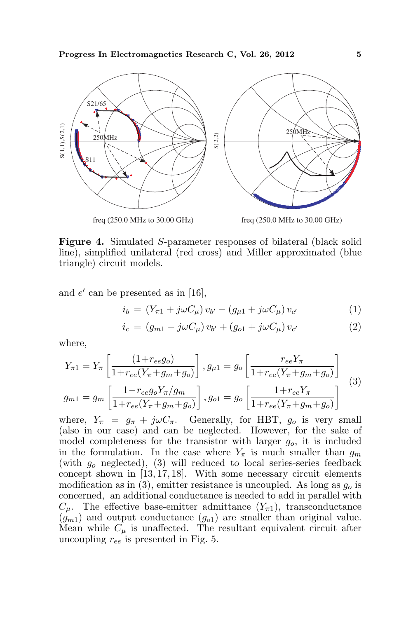

Figure 4. Simulated S-parameter responses of bilateral (black solid line), simplified unilateral (red cross) and Miller approximated (blue triangle) circuit models.

and  $e'$  can be presented as in [16],

$$
i_b = (Y_{\pi 1} + j\omega C_\mu) v_{b'} - (g_{\mu 1} + j\omega C_\mu) v_{c'}
$$
 (1)

$$
i_c = (g_{m1} - j\omega C_\mu) v_{b'} + (g_{o1} + j\omega C_\mu) v_{c'}
$$
 (2)

where,

$$
Y_{\pi 1} = Y_{\pi} \left[ \frac{(1 + r_{ee}g_o)}{1 + r_{ee}(Y_{\pi} + g_m + g_o)} \right], g_{\mu 1} = g_o \left[ \frac{r_{ee}Y_{\pi}}{1 + r_{ee}(Y_{\pi} + g_m + g_o)} \right]
$$
  

$$
g_{m1} = g_m \left[ \frac{1 - r_{ee}g_oY_{\pi}/g_m}{1 + r_{ee}(Y_{\pi} + g_m + g_o)} \right], g_{o1} = g_o \left[ \frac{1 + r_{ee}Y_{\pi}}{1 + r_{ee}(Y_{\pi} + g_m + g_o)} \right]
$$
(3)

where,  $Y_{\pi} = g_{\pi} + j\omega C_{\pi}$ . Generally, for HBT,  $g_o$  is very small (also in our case) and can be neglected. However, for the sake of model completeness for the transistor with larger  $q_o$ , it is included in the formulation. In the case where  $Y_{\pi}$  is much smaller than  $q_m$ (with  $g<sub>o</sub>$  neglected), (3) will reduced to local series-series feedback concept shown in [13, 17, 18]. With some necessary circuit elements modification as in (3), emitter resistance is uncoupled. As long as  $g<sub>o</sub>$  is concerned, an additional conductance is needed to add in parallel with  $C_{\mu}$ . The effective base-emitter admittance  $(Y_{\pi 1})$ , transconductance  $(g_{m1})$  and output conductance  $(g_{01})$  are smaller than original value. Mean while  $C_{\mu}$  is unaffected. The resultant equivalent circuit after uncoupling  $r_{ee}$  is presented in Fig. 5.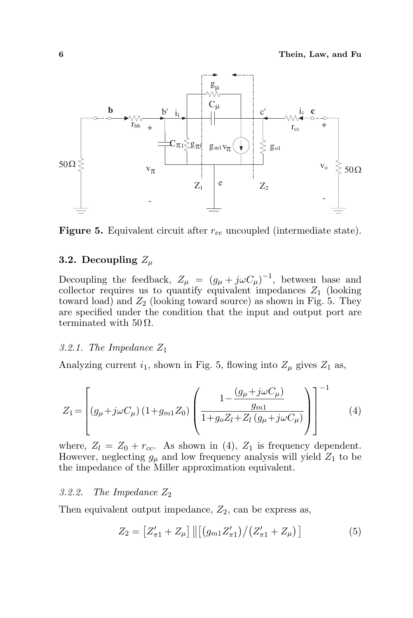

**Figure 5.** Equivalent circuit after  $r_{ee}$  uncoupled (intermediate state).

# 3.2. Decoupling  $Z_{\mu}$

Decoupling the feedback,  $Z_{\mu} = (g_{\mu} + j\omega C_{\mu})^{-1}$ , between base and collector requires us to quantify equivalent impedances  $Z_1$  (looking toward load) and  $Z_2$  (looking toward source) as shown in Fig. 5. They are specified under the condition that the input and output port are terminated with  $50 \Omega$ .

### 3.2.1. The Impedance  $Z_1$

Analyzing current  $i_1$ , shown in Fig. 5, flowing into  $Z_\mu$  gives  $Z_1$  as,

$$
Z_{1} = \left[ (g_{\mu} + j\omega C_{\mu}) (1 + g_{m1} Z_{0}) \left( \frac{1 - \frac{(g_{\mu} + j\omega C_{\mu})}{g_{m1}}}{1 + g_{o} Z_{l} + Z_{l} (g_{\mu} + j\omega C_{\mu})} \right) \right]^{-1}
$$
(4)

where,  $Z_l = Z_0 + r_{cc}$ . As shown in (4),  $Z_1$  is frequency dependent. However, neglecting  $g_{\mu}$  and low frequency analysis will yield  $Z_1$  to be the impedance of the Miller approximation equivalent.

#### 3.2.2. The Impedance  $Z_2$

Then equivalent output impedance,  $Z_2$ , can be express as,

$$
Z_2 = \left[ Z'_{\pi 1} + Z_{\mu} \right] \left\| \left[ \left( g_{m1} Z'_{\pi 1} \right) / \left( Z'_{\pi 1} + Z_{\mu} \right) \right] \right\| \tag{5}
$$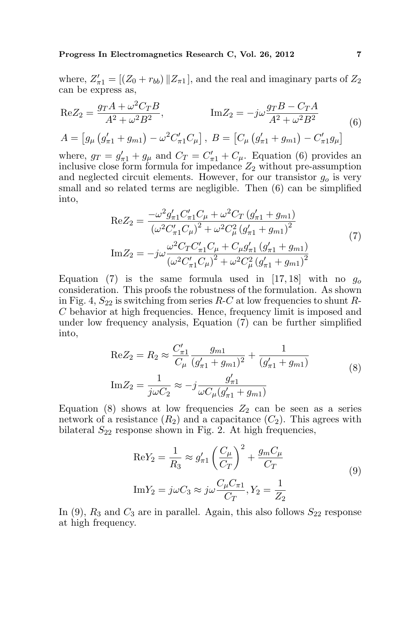Progress In Electromagnetics Research C, Vol. 26, 2012 7

where,  $Z'_{\pi 1} = [(Z_0 + r_{bb}) || Z_{\pi 1}]$ , and the real and imaginary parts of  $Z_2$ can be express as,

$$
\text{Re} Z_2 = \frac{g_T A + \omega^2 C_T B}{A^2 + \omega^2 B^2}, \qquad \text{Im} Z_2 = -j\omega \frac{g_T B - C_T A}{A^2 + \omega^2 B^2}
$$
\n
$$
A = \left[ g_\mu \left( g'_{\pi 1} + g_{m1} \right) - \omega^2 C'_{\pi 1} C_\mu \right], \ B = \left[ C_\mu \left( g'_{\pi 1} + g_{m1} \right) - C'_{\pi 1} g_\mu \right]
$$
\n
$$
(6)
$$

where,  $g_T = g'_{\pi 1} + g_\mu$  and  $C_T = C'_{\pi 1} + C_\mu$ . Equation (6) provides an inclusive close form formula for impedance  $Z_2$  without pre-assumption and neglected circuit elements. However, for our transistor  $g<sub>o</sub>$  is very small and so related terms are negligible. Then (6) can be simplified into,

$$
\text{Re} Z_{2} = \frac{-\omega^{2} g_{\pi 1}^{\prime} C_{\pi 1}^{\prime} C_{\mu} + \omega^{2} C_{T} \left( g_{\pi 1}^{\prime} + g_{m 1} \right)}{(\omega^{2} C_{\pi 1}^{\prime} C_{\mu})^{2} + \omega^{2} C_{\mu}^{2} \left( g_{\pi 1}^{\prime} + g_{m 1} \right)^{2}}
$$
\n
$$
\text{Im} Z_{2} = -j\omega \frac{\omega^{2} C_{T} C_{\pi 1}^{\prime} C_{\mu} + C_{\mu} g_{\pi 1}^{\prime} \left( g_{\pi 1}^{\prime} + g_{m 1} \right)}{(\omega^{2} C_{\pi 1}^{\prime} C_{\mu})^{2} + \omega^{2} C_{\mu}^{2} \left( g_{\pi 1}^{\prime} + g_{m 1} \right)^{2}}
$$
\n(7)

Equation (7) is the same formula used in [17, 18] with no  $g_0$ consideration. This proofs the robustness of the formulation. As shown in Fig. 4,  $S_{22}$  is switching from series R-C at low frequencies to shunt R-C behavior at high frequencies. Hence, frequency limit is imposed and under low frequency analysis, Equation (7) can be further simplified into,

$$
\text{Re} Z_2 = R_2 \approx \frac{C'_{\pi 1}}{C_{\mu}} \frac{g_{m1}}{(g'_{\pi 1} + g_{m1})^2} + \frac{1}{(g'_{\pi 1} + g_{m1})}
$$
  
\n
$$
\text{Im} Z_2 = \frac{1}{j\omega C_2} \approx -j \frac{g'_{\pi 1}}{\omega C_{\mu} (g'_{\pi 1} + g_{m1})}
$$
(8)

Equation (8) shows at low frequencies  $Z_2$  can be seen as a series network of a resistance  $(R_2)$  and a capacitance  $(C_2)$ . This agrees with bilateral  $S_{22}$  response shown in Fig. 2. At high frequencies,

$$
\text{Re}Y_2 = \frac{1}{R_3} \approx g'_{\pi 1} \left(\frac{C_\mu}{C_T}\right)^2 + \frac{g_m C_\mu}{C_T}
$$
  
\n
$$
\text{Im}Y_2 = j\omega C_3 \approx j\omega \frac{C_\mu C_{\pi 1}}{C_T}, Y_2 = \frac{1}{Z_2}
$$
\n(9)

In (9),  $R_3$  and  $C_3$  are in parallel. Again, this also follows  $S_{22}$  response at high frequency.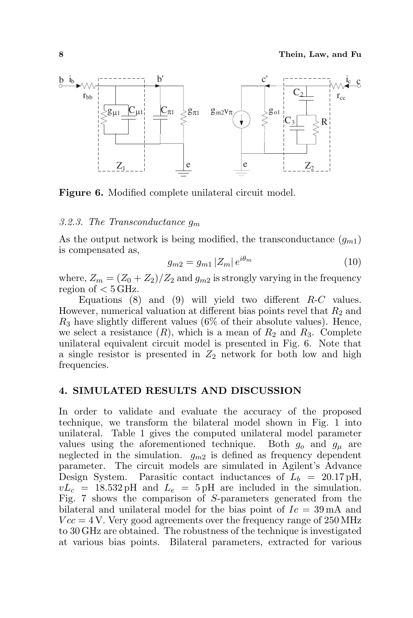

Figure 6. Modified complete unilateral circuit model.

### 3.2.3. The Transconductance  $q_m$

As the output network is being modified, the transconductance  $(g_{m1})$ is compensated as,

$$
g_{m2} = g_{m1} |Z_m| e^{i\theta_m} \tag{10}
$$

where,  $Z_m = (Z_0 + Z_2)/Z_2$  and  $g_{m2}$  is strongly varying in the frequency region of  $< 5$  GHz.

Equations  $(8)$  and  $(9)$  will yield two different R-C values. However, numerical valuation at different bias points revel that  $R_2$  and  $R_3$  have slightly different values (6% of their absolute values). Hence, we select a resistance  $(R)$ , which is a mean of  $R_2$  and  $R_3$ . Complete unilateral equivalent circuit model is presented in Fig. 6. Note that a single resistor is presented in  $Z_2$  network for both low and high frequencies.

### 4. SIMULATED RESULTS AND DISCUSSION

In order to validate and evaluate the accuracy of the proposed technique, we transform the bilateral model shown in Fig. 1 into unilateral. Table 1 gives the computed unilateral model parameter values using the aforementioned technique. Both  $g_0$  and  $g_u$  are neglected in the simulation.  $g_{m2}$  is defined as frequency dependent parameter. The circuit models are simulated in Agilent's Advance Design System. Parasitic contact inductances of  $L_b = 20.17 \text{ pH}$ ,  $vL_c = 18.532 \text{ pH}$  and  $L_e = 5 \text{ pH}$  are included in the simulation. Fig. 7 shows the comparison of S-parameters generated from the bilateral and unilateral model for the bias point of  $Ic = 39 \text{ mA}$  and  $Vcc = 4$  V. Very good agreements over the frequency range of 250 MHz to 30 GHz are obtained. The robustness of the technique is investigated at various bias points. Bilateral parameters, extracted for various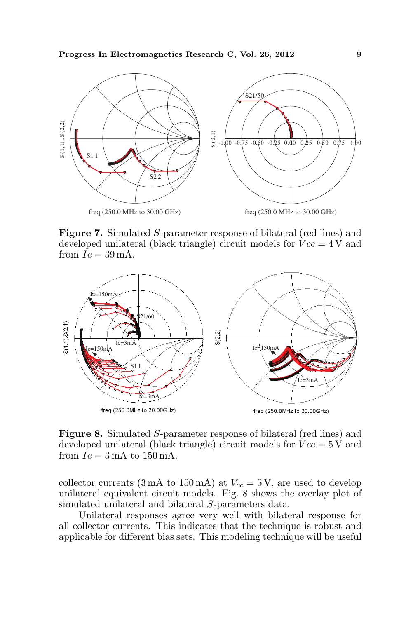

Figure 7. Simulated S-parameter response of bilateral (red lines) and developed unilateral (black triangle) circuit models for  $Vcc = 4$  V and from  $Ic = 39 \text{ mA}$ .



Figure 8. Simulated S-parameter response of bilateral (red lines) and developed unilateral (black triangle) circuit models for  $Vcc = 5$  V and from  $Ic = 3 \text{ mA}$  to  $150 \text{ mA}$ .

collector currents (3 mA to 150 mA) at  $V_{cc} = 5$  V, are used to develop unilateral equivalent circuit models. Fig. 8 shows the overlay plot of simulated unilateral and bilateral S-parameters data.

Unilateral responses agree very well with bilateral response for all collector currents. This indicates that the technique is robust and applicable for different bias sets. This modeling technique will be useful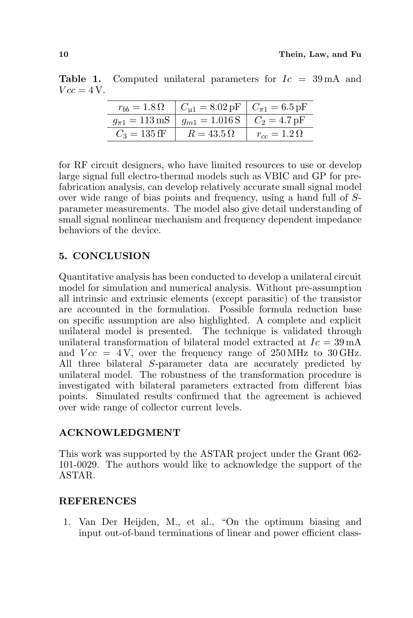|                | $r_{bb} = 1.8 \Omega$ $C_{\mu 1} = 8.02 \text{ pF}$ $C_{\pi 1} = 6.5 \text{ pF}$   |                      |
|----------------|------------------------------------------------------------------------------------|----------------------|
|                | $g_{\pi 1} = 113 \text{ mS}$   $g_{m1} = 1.016 \text{ S}$   $C_2 = 4.7 \text{ pF}$ |                      |
| $C_3 = 135$ fF | $R = 43.5 \Omega$                                                                  | $r_{cc}=1.2\,\Omega$ |

**Table 1.** Computed unilateral parameters for  $I_c = 39 \text{ mA}$  and  $Vcc = 4V$ .

for RF circuit designers, who have limited resources to use or develop large signal full electro-thermal models such as VBIC and GP for prefabrication analysis, can develop relatively accurate small signal model over wide range of bias points and frequency, using a hand full of Sparameter measurements. The model also give detail understanding of small signal nonlinear mechanism and frequency dependent impedance behaviors of the device.

# 5. CONCLUSION

Quantitative analysis has been conducted to develop a unilateral circuit model for simulation and numerical analysis. Without pre-assumption all intrinsic and extrinsic elements (except parasitic) of the transistor are accounted in the formulation. Possible formula reduction base on specific assumption are also highlighted. A complete and explicit unilateral model is presented. The technique is validated through unilateral transformation of bilateral model extracted at  $Ic = 39 \text{ mA}$ and  $Vec = 4V$ , over the frequency range of 250 MHz to 30 GHz. All three bilateral S-parameter data are accurately predicted by unilateral model. The robustness of the transformation procedure is investigated with bilateral parameters extracted from different bias points. Simulated results confirmed that the agreement is achieved over wide range of collector current levels.

# ACKNOWLEDGMENT

This work was supported by the ASTAR project under the Grant 062- 101-0029. The authors would like to acknowledge the support of the ASTAR.

### **REFERENCES**

1. Van Der Heijden, M., et al., "On the optimum biasing and input out-of-band terminations of linear and power efficient class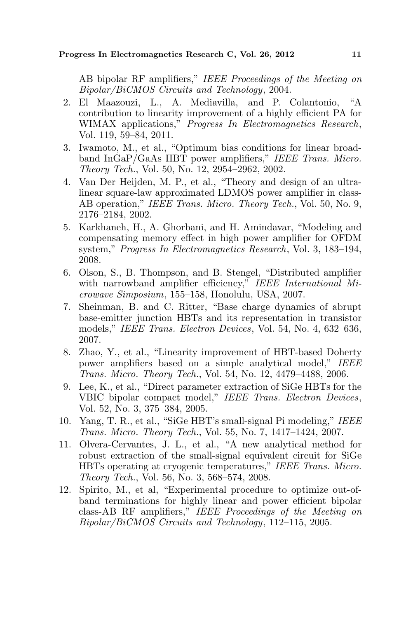AB bipolar RF amplifiers," IEEE Proceedings of the Meeting on Bipolar/BiCMOS Circuits and Technology, 2004.

- 2. El Maazouzi, L., A. Mediavilla, and P. Colantonio, "A contribution to linearity improvement of a highly efficient PA for WIMAX applications," Progress In Electromagnetics Research, Vol. 119, 59–84, 2011.
- 3. Iwamoto, M., et al., "Optimum bias conditions for linear broadband InGaP/GaAs HBT power amplifiers," IEEE Trans. Micro. Theory Tech., Vol. 50, No. 12, 2954–2962, 2002.
- 4. Van Der Heijden, M. P., et al., "Theory and design of an ultralinear square-law approximated LDMOS power amplifier in class-AB operation," IEEE Trans. Micro. Theory Tech., Vol. 50, No. 9, 2176–2184, 2002.
- 5. Karkhaneh, H., A. Ghorbani, and H. Amindavar, "Modeling and compensating memory effect in high power amplifier for OFDM system," Progress In Electromagnetics Research, Vol. 3, 183–194, 2008.
- 6. Olson, S., B. Thompson, and B. Stengel, "Distributed amplifier with narrowband amplifier efficiency," IEEE International Microwave Simposium, 155–158, Honolulu, USA, 2007.
- 7. Sheinman, B. and C. Ritter, "Base charge dynamics of abrupt base-emitter junction HBTs and its representation in transistor models," IEEE Trans. Electron Devices, Vol. 54, No. 4, 632–636, 2007.
- 8. Zhao, Y., et al., "Linearity improvement of HBT-based Doherty power amplifiers based on a simple analytical model," IEEE Trans. Micro. Theory Tech., Vol. 54, No. 12, 4479–4488, 2006.
- 9. Lee, K., et al., "Direct parameter extraction of SiGe HBTs for the VBIC bipolar compact model," IEEE Trans. Electron Devices, Vol. 52, No. 3, 375–384, 2005.
- 10. Yang, T. R., et al., "SiGe HBT's small-signal Pi modeling," IEEE Trans. Micro. Theory Tech., Vol. 55, No. 7, 1417–1424, 2007.
- 11. Olvera-Cervantes, J. L., et al., "A new analytical method for robust extraction of the small-signal equivalent circuit for SiGe HBTs operating at cryogenic temperatures," IEEE Trans. Micro. Theory Tech., Vol. 56, No. 3, 568–574, 2008.
- 12. Spirito, M., et al, "Experimental procedure to optimize out-ofband terminations for highly linear and power efficient bipolar class-AB RF amplifiers," IEEE Proceedings of the Meeting on Bipolar/BiCMOS Circuits and Technology, 112–115, 2005.